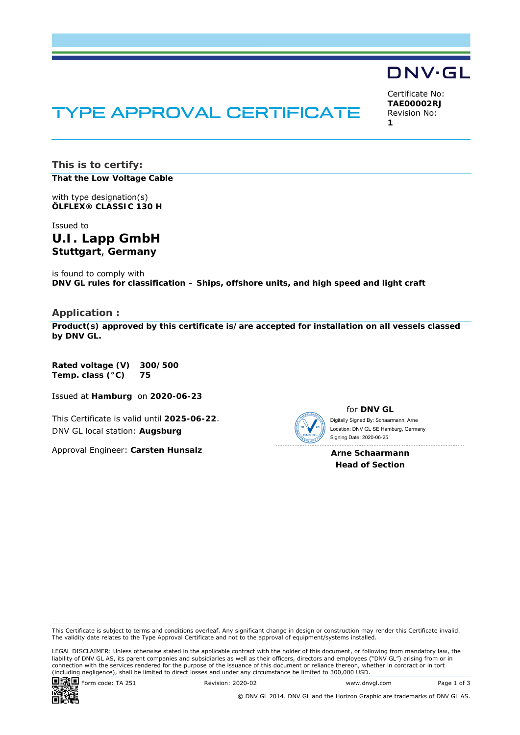# TYPE APPROVAL CERTIFICATE

Certificate No: **TAE00002RJ** Revision No: **1** 

DNV·GL

**This is to certify:** 

**That the Low Voltage Cable**

with type designation(s) **ÖLFLEX® CLASSIC 130 H**

Issued to **U.I. Lapp GmbH Stuttgart**, **Germany** 

is found to comply with **DNV GL rules for classification – Ships, offshore units, and high speed and light craft** 

#### **Application :**

**Product(s) approved by this certificate is/are accepted for installation on all vessels classed by DNV GL.**

**Rated voltage (V) 300/500 Temp. class (°C) 75** 

Issued at **Hamburg** on **2020-06-23**

This Certificate is valid until **2025-06-22**. DNV GL local station: **Augsburg**

Approval Engineer: **Carsten Hunsalz**

for **DNV GL**

 Signing Date: 2020-06-25 Digitally Signed By: Schaarmann, Arne Location: DNV GL SE Hamburg, Germany

**Arne Schaarmann Head of Section** 



Form code: TA 251 Revision: 2020-02 www.dnvgl.com Page 1 of 3

This Certificate is subject to terms and conditions overleaf. Any significant change in design or construction may render this Certificate invalid. The validity date relates to the Type Approval Certificate and not to the approval of equipment/systems installed.

LEGAL DISCLAIMER: Unless otherwise stated in the applicable contract with the holder of this document, or following from mandatory law, the liability of DNV GL AS, its parent companies and subsidiaries as well as their officers, directors and employees ("DNV GL") arising from or in connection with the services rendered for the purpose of the issuance of this document or reliance thereon, whether in contract or in tort (including negligence), shall be limited to direct losses and under any circumstance be limited to 300,000 USD.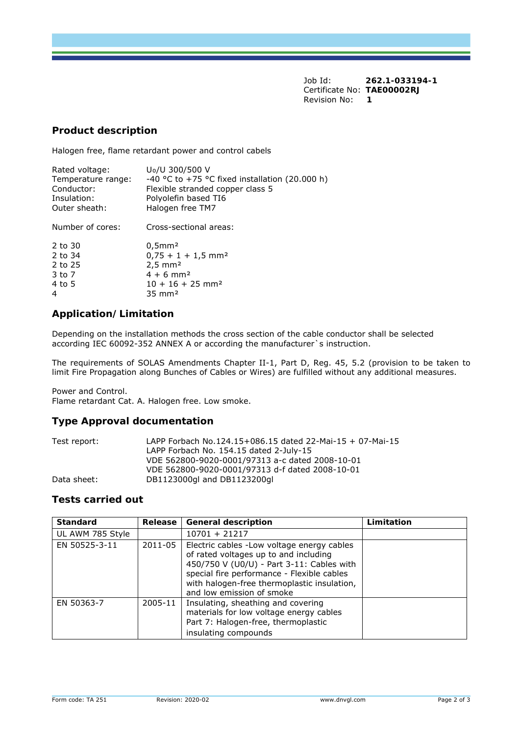Job Id: **262.1-033194-1**  Certificate No: **TAE00002RJ** Revision No: **1** 

## **Product description**

Halogen free, flame retardant power and control cabels

| Rated voltage:     | U <sub>0</sub> /U 300/500 V                    |
|--------------------|------------------------------------------------|
| Temperature range: | -40 °C to +75 °C fixed installation (20.000 h) |
| Conductor:         | Flexible stranded copper class 5               |
| Insulation:        | Polyolefin based TI6                           |
| Outer sheath:      | Halogen free TM7                               |
| Number of cores:   | Cross-sectional areas:                         |
| 2 to 30            | $0.5$ mm <sup>2</sup>                          |
| 2 to 34            | $0.75 + 1 + 1.5$ mm <sup>2</sup>               |
| 2 to 25            | $2,5 \, \text{mm}^2$                           |
| 3 to 7             | $4 + 6$ mm <sup>2</sup>                        |
| 4 to 5             | $10 + 16 + 25$ mm <sup>2</sup>                 |
| 4                  | $35 \text{ mm}^2$                              |

## **Application/Limitation**

Depending on the installation methods the cross section of the cable conductor shall be selected according IEC 60092-352 ANNEX A or according the manufacturer`s instruction.

The requirements of SOLAS Amendments Chapter II-1, Part D, Reg. 45, 5.2 (provision to be taken to limit Fire Propagation along Bunches of Cables or Wires) are fulfilled without any additional measures.

Power and Control. Flame retardant Cat. A. Halogen free. Low smoke.

## **Type Approval documentation**

| Test report: | LAPP Forbach No.124.15+086.15 dated 22-Mai-15 + 07-Mai-15 |  |  |
|--------------|-----------------------------------------------------------|--|--|
|              | LAPP Forbach No. 154.15 dated 2-July-15                   |  |  |
|              | VDE 562800-9020-0001/97313 a-c dated 2008-10-01           |  |  |
|              | VDE 562800-9020-0001/97313 d-f dated 2008-10-01           |  |  |
| Data sheet:  | DB1123000gl and DB1123200gl                               |  |  |

### **Tests carried out**

| <b>Standard</b>  | Release | <b>General description</b>                                                                                                                                                                                                                                  | Limitation |
|------------------|---------|-------------------------------------------------------------------------------------------------------------------------------------------------------------------------------------------------------------------------------------------------------------|------------|
| UL AWM 785 Style |         | $10701 + 21217$                                                                                                                                                                                                                                             |            |
| EN 50525-3-11    | 2011-05 | Electric cables - Low voltage energy cables<br>of rated voltages up to and including<br>450/750 V (U0/U) - Part 3-11: Cables with<br>special fire performance - Flexible cables<br>with halogen-free thermoplastic insulation,<br>and low emission of smoke |            |
| EN 50363-7       | 2005-11 | Insulating, sheathing and covering<br>materials for low voltage energy cables<br>Part 7: Halogen-free, thermoplastic<br>insulating compounds                                                                                                                |            |